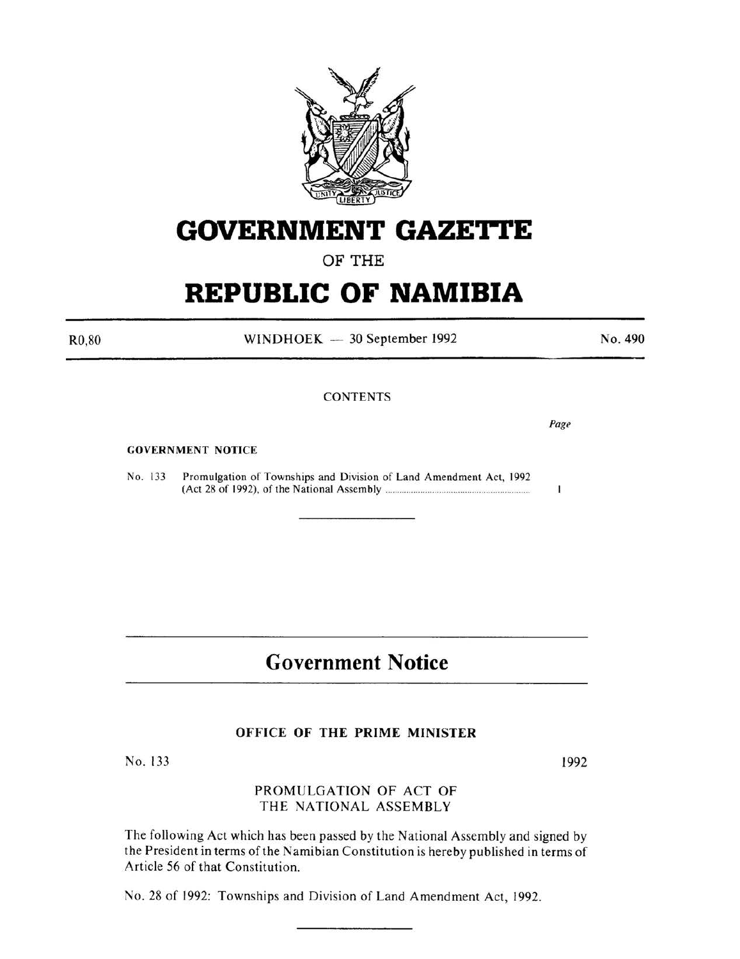

# **GOVERNMENT GAZETTE**

# OF THE

# **REPUBLIC OF NAMIBIA**

WINDHOEK - 30 September 1992

**CONTENTS** 

GOVERNMENT NOTICE

No. 133 Promulgation of Townships and Division of Land Amendment Act, 1992 (Act 28 of 1992), of the National Assembly ..................................... .................... .

# **Government Notice**

#### OFFICE OF THE PRIME MINISTER

No. 133

# PROMULGATION OF ACT OF THE NATIONAL ASSEMBLY

The following Act which has been passed by the National Assembly and signed by the President in terms of the Namibian Constitution is hereby published in terms of Article 56 of that Constitution.

No. 28 of 1992: Townships and Division of Land Amendment Act, 1992.

1992

No. 490

Page

1

R0,80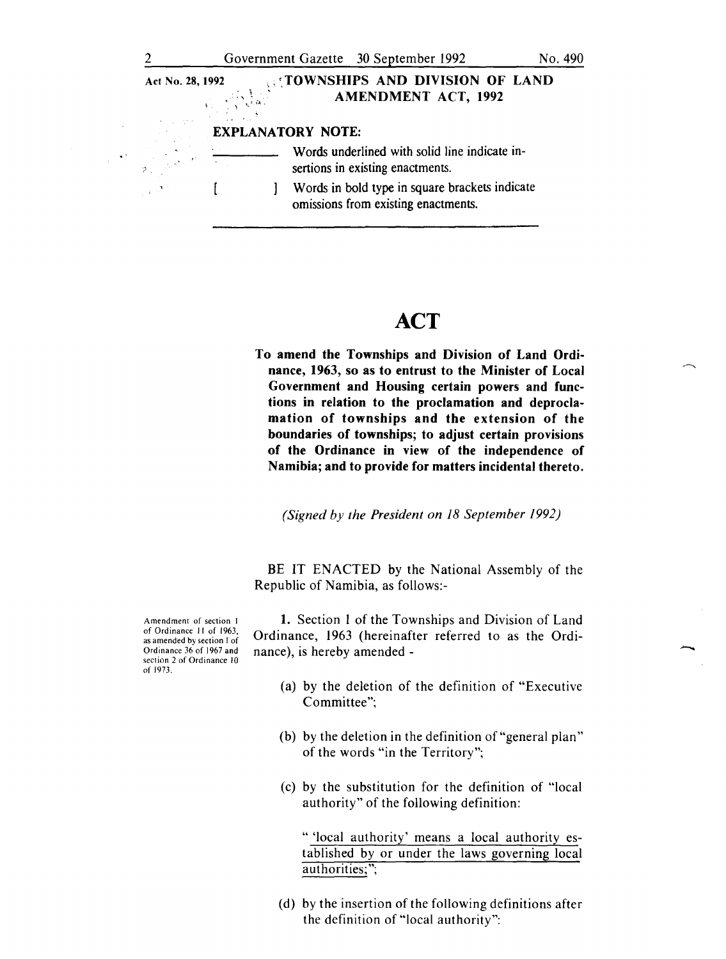| Act No. 28, 1992                                                                                                                  | Report Follows           |  | <b>COWNSHIPS AND DIVISION OF LAND</b><br><b>AMENDMENT ACT, 1992</b>                   |
|-----------------------------------------------------------------------------------------------------------------------------------|--------------------------|--|---------------------------------------------------------------------------------------|
|                                                                                                                                   | <b>EXPLANATORY NOTE:</b> |  |                                                                                       |
| $\label{eq:2} \frac{1}{2\pi\sigma^2} \frac{1}{\sigma^2} \int_{-\infty}^{\infty} \frac{d^2\sigma}{\sigma^2} \, d\sigma \, d\sigma$ |                          |  | Words underlined with solid line indicate in-<br>sertions in existing enactments.     |
| $\mathcal{L}^{(1,1)}$                                                                                                             |                          |  | Words in bold type in square brackets indicate<br>omissions from existing enactments. |

# **ACT**

To amend the Townships and Division of Land Ordinance, 1963, so as to entrust to the Minister of Local Government and Housing certain powers and functions in relation to the proclamation and deproclamation of townships and the extension of the boundaries of townships; to adjust certain provisions of the Ordinance in view of the independence of Namibia; and to provide for matters incidental thereto.

*(Signed by the President on 18 September 1992)* 

BE IT ENACTED by the National Assembly of the Republic of Namibia, as follows:-

Amendment of section I of Ordinance II of 1963, as amended by section I of Ordinance 36 of 1967 and section 2 of Ordinance 10 of 1973,

1. Section I of the Townships and Division of Land Ordinance, 1963 (hereinafter referred to as the Ordinance), is hereby amended-

- (a) by the deletion of the definition of "Executive Committee";
- (b) by the deletion in the definition of "general plan" of the words "in the Territory";
- (c) by the substitution for the definition of "local authority" of the following definition:

" 'local authority' means a local authority established by or under the laws governing local authorities;";

(d) by the insertion of the following definitions after the definition of "local authority":

•'

,.•.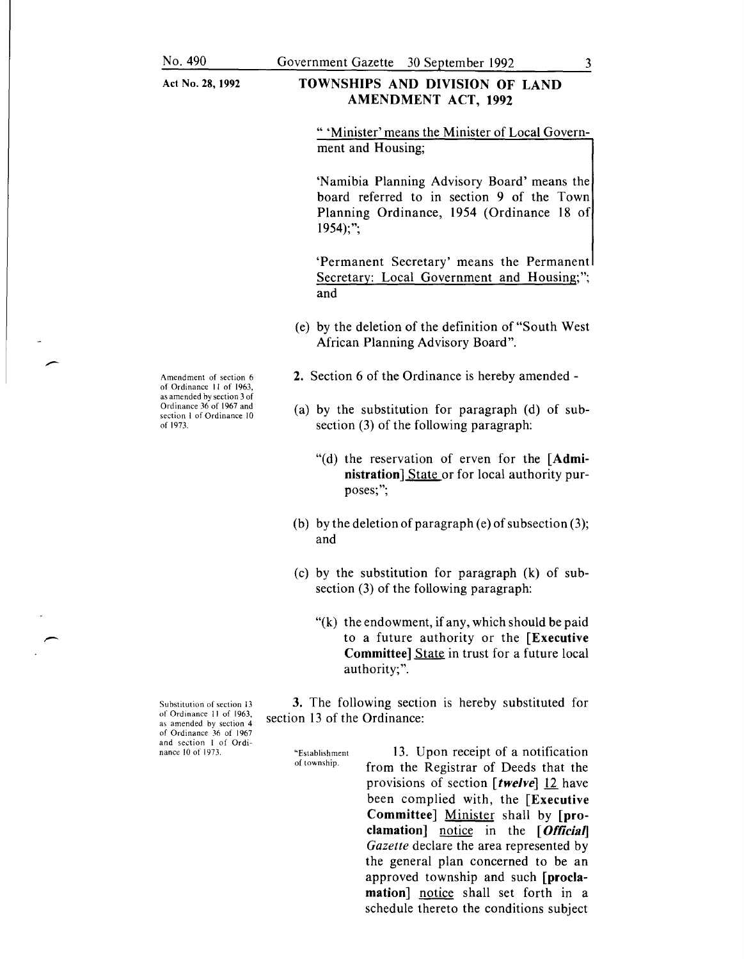# TOWNSHIPS AND DIVISION OF LAND AMENDMENT ACT, 1992

" 'Minister' means the Minister of Local Government and Housing;

'Namibia Planning Advisory Board' means the board referred to in section 9 of the Town Planning Ordinance, 1954 (Ordinance 18 of  $1954$ :":

'Permanent Secretary' means the Permanent Secretary: Local Government and Housing;"; and

(e) by the deletion of the definition of"South West African Planning Advisory Board".

2. Section 6 of the Ordinance is hereby amended -

- (a) by the substitution for paragraph (d) of subsection (3) of the following paragraph:
	- "(d) the reservation of erven for the [Administration] State or for local authority purposes;";
- (b) by the deletion of paragraph (e) of subsection  $(3)$ ; and
- (c) by the substitution for paragraph (k) of subsection (3) of the following paragraph:
	- "(k) the endowment, if any, which should be paid to a future authority or the [Executive Committee] State in trust for a future local authority;".

3. The following section is hereby substituted for section 13 of the Ordinance:

"Establishment of township.

13. Upon receipt of a notification from the Registrar of Deeds that the provisions of section [twelve] 12 have been complied with, the [Executive Committee] Minister shall by [proclamation] notice in the  $[Official]$ *Gazette* declare the area represented by the general plan concerned to be an approved township and such [proclamation] notice shall set forth in a schedule thereto the conditions subject

Amendment of section 6 of Ordinance II of 1963, as amended by section 3 of Ordinance 36 of 1967 and section I of Ordinance 10 of 1973.

Substitution of section 13 of Ordinance II of 1963, as amended by section 4 of Ordinance 36 of 1967 and section I of Ordinance 10 of 1973.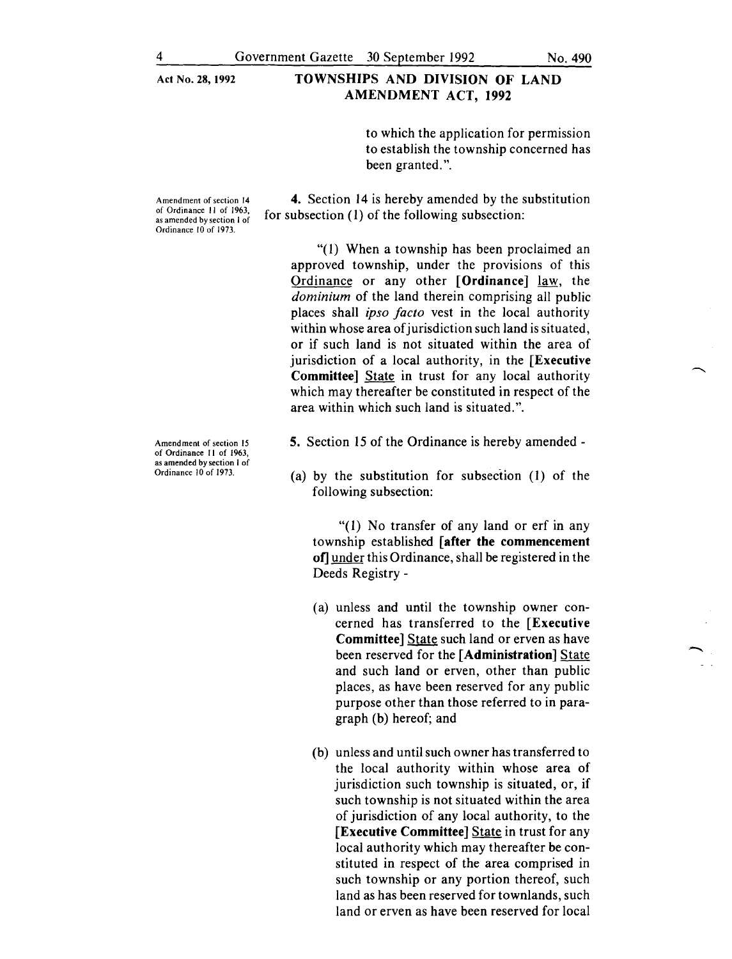#### Act No. 28, 1992 TOWNSHIPS AND DIVISION OF LAND AMENDMENT ACT, 1992

to which the application for permission to establish the township concerned has been granted.".

Amendment of section 14 of Ordinance II of 1963, as amended by section I of Ordinance 10 of 1973.

4. Section 14 is hereby amended by the substitution for subsection (1) of the following subsection:

"(1) When a township has been proclaimed an approved township, under the provisions of this Ordinance or any other [Ordinance] law, the *dominium* of the land therein comprising all public places shall *ipso facto* vest in the local authority within whose area of jurisdiction such land is situated, or if such land is not situated within the area of jurisdiction of a local authority, in the [Executive Committee] State in trust for any local authority which may thereafter be constituted in respect of the area within which such land is situated.".

- 5. Section 15 of the Ordinance is hereby amended -
- (a) by the substitution for subsection (I) of the following subsection:

"(I) No transfer of any land or erf in any township established [after the commencement of] under this Ordinance, shall be registered in the Deeds Registry -

- (a) unless and until the township owner concerned has transferred to the [Executive Committee] State such land or erven as have been reserved for the [Administration] State and such land or erven, other than public places, as have been reserved for any public purpose other than those referred to in paragraph (b) hereof; and
- (b) unless and until such owner has transferred to the local authority within whose area of jurisdiction such township is situated, or, if such township is not situated within the area of jurisdiction of any local authority, to the [Executive Committee] State in trust for any local authority which may thereafter be constituted in respect of the area comprised in such township or any portion thereof, such land as has been reserved for townlands, such land or erven as have been reserved for local

Amendment of section 15 of Ordinance II of 1963, as amended by section I of Ordinance 10 of 1973.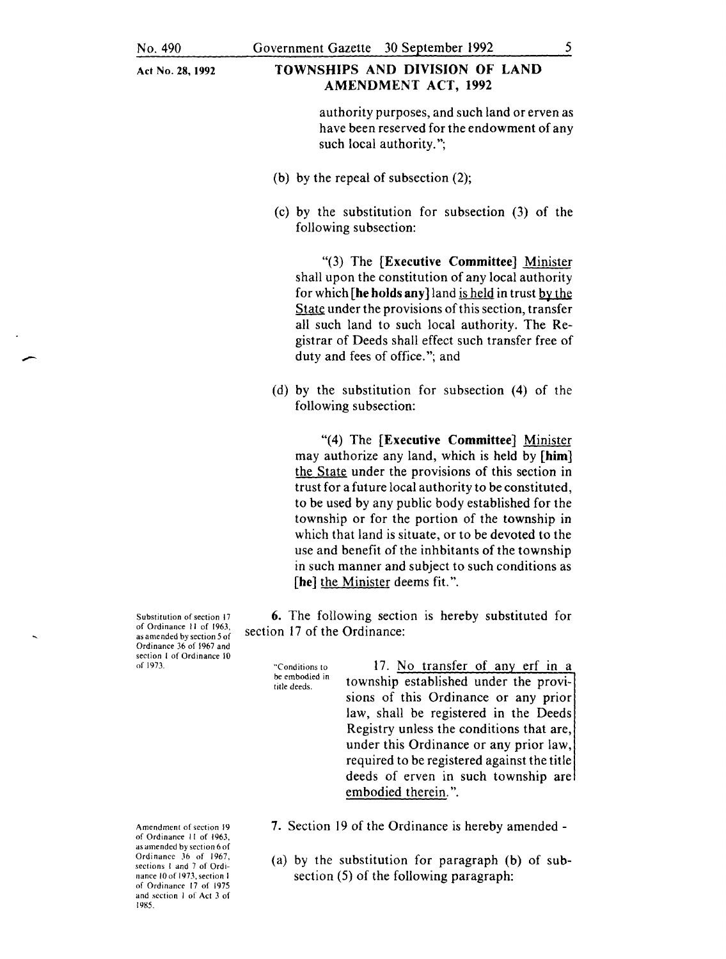-

Act No. 28, 1992

## TOWNSHIPS AND DIVISION OF LAND AMENDMENT ACT, 1992

authority purposes, and such land or erven as have been reserved for the endowment of any such local authority.";

- (b) by the repeal of subsection (2);
- (c) by the substitution for subsection (3) of the following subsection:

"(3) The [Executive Committee] Minister shall upon the constitution of any local authority for which [he holds any] land is held in trust by the State under the provisions of this section, transfer all such land to such local authority. The Registrar of Deeds shall effect such transfer free of duty and fees of office."; and

(d) by the substitution for subsection (4) of the following subsection:

"(4) The [Executive Committee] Minister may authorize any land, which is held by **[him]**  the State under the provisions of this section in trust for a future local authority to be constituted, to be used by any public body established for the township or for the portion of the township in which that land is situate, or to be devoted to the use and benefit of the inhbitants of the township in such manner and subject to such conditions as [he] the Minister deems fit.".

6. The following section is hereby substituted for section 17 of the Ordinance:

"Conditions to be embodied in title deeds.

17. No transfer of any erf in a township established under the provisions of this Ordinance or any prior law, shall be registered in the Deeds Registry unless the conditions that are, under this Ordinance or any prior law, required to be registered against the title deeds of erven in such township are embodied therein.".

- 7. Section 19 of the Ordinance is hereby amended -
- (a) by the substitution for paragraph (b) of subsection (5) of the following paragraph:

Substitution of section 17 of Ordinance II of 1963, as amended by section 5 of Ordinance 36 of 1967 and section I of Ordinance 10 of 1973.

Amendment of section 19 of Ordinance II of 1963. as amended by section 6 of Ordinance 36 of 1967, sections I and 7 of Ordinance 10 of 1973, section 1 of Ordinance 17 of 1975 and section I of Act 3 of 1985.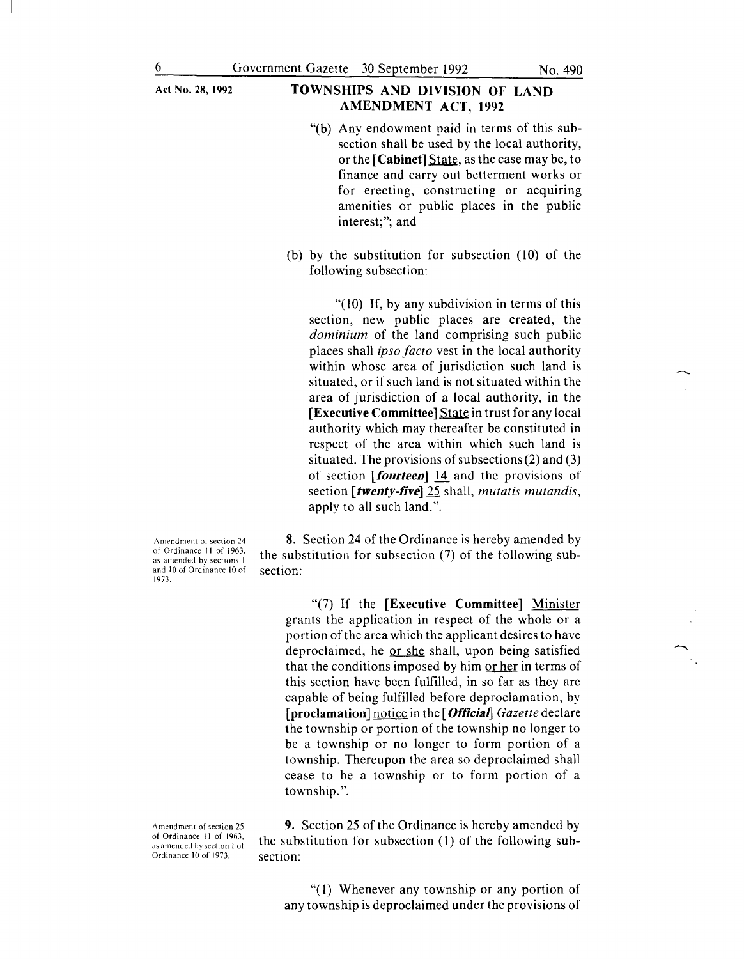# Act No. 28, 1992 **TOWNSHIPS AND DIVISION OF LAND** AMENDMENT ACT, 1992

- "(b) Any endowment paid in terms of this subsection shall be used by the local authority, or the [Cabinet] State, as the case may be, to finance and carry out betterment works or for erecting, constructing or acquiring amenities or public places in the public interest;"; and
- (b) by the substitution for subsection (10) of the following subsection:

"(10) If, by any subdivision in terms of this section, new public places are created, the *dominium* of the land comprising such public places shall *ipso facto* vest in the local authority within whose area of jurisdiction such land is situated, or if such land is not situated within the area of jurisdiction of a local authority, in the [Executive Committee] State in trust for any local authority which may thereafter be constituted in respect of the area within which such land is situated. The provisions of subsections (2) and (3) of section [fourteen] 14 and the provisions of section [twenty-five] 25 shall, *mutatis mutandis,*  apply to all such land.".

Amendment of section 24 of Ordinance II of 1963, as amended bv sections I and 10 of Ordinance 10 of 1973.

8. Section 24 of the Ordinance is hereby amended by the substitution for subsection (7) of the following subsection:

"(7) If the [Executive Committee] Minister grants the application in respect of the whole or a portion of the area which the applicant desires to have deproclaimed, he or she shall, upon being satisfied that the conditions imposed by him or her in terms of this section have been fulfilled, in so far as they are capable of being fulfilled before deproclamation, by [proclamation] notice in the [*Official*] Gazette declare the township or portion of the township no longer to be a township or no longer to form portion of a township. Thereupon the area so deproclaimed shall cease to be a township or to form portion of a township.".

Amendment of section 25 of Ordinance II of 1963, as amended by section I of Ordinance 10 of 1973.

9. Section 25 of the Ordinance is hereby amended by the substitution for subsection (l) of the following subsection:

"(l) Whenever any township or any portion of any township is deproclaimed under the provisions of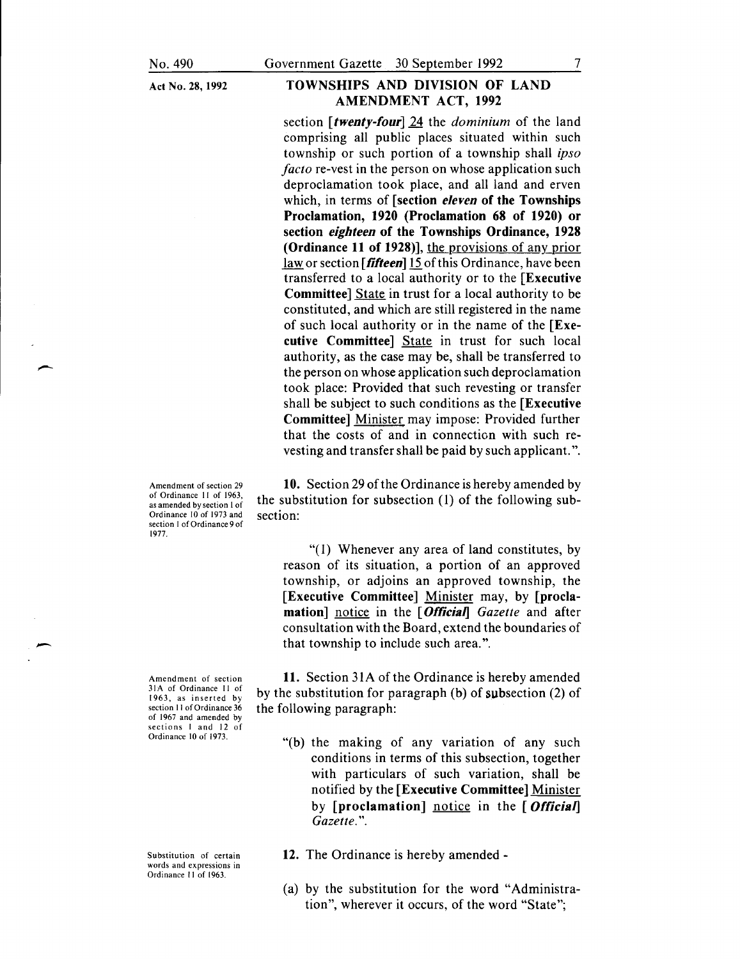### **TOWNSHIPS AND DIVISION OF LAND AMENDMENT ACT, 1992**

section **[twenty-four]** 24 the *dominium* of the land comprising all public places situated within such township or such portion of a township shall *ipso facto* re-vest in the person on whose application such deproclamation took place, and all land and erven which, in terms of **[section eleven of the Townships Proclamation, 1920 (Proclamation 68 of 1920) or section eighteen of the Townships Ordinance, 1928 (Ordinance 11 of 1928)],** the provisions of any\_prior law or section [fifteen] 15 of this Ordinance, have been transferred to a local authority or to the **[Executive Committee]** State in trust for a local authority to be constituted, and which are still registered in the name of such local authority or in the name of the **[Executive Committee]** State in trust for such local authority, as the case may be, shall be transferred to the person on whose application such deproclamation took place: Provided that such revesting or transfer shall be subject to such conditions as the **[Executive Committee]** Minister may impose: Provided further that the costs of and in connection with such revesting and transfer shall be paid by such applicant.".

Amendment of section 29 of Ordinance II of 1963, as amended by section I of Ordinance 10 of 1973 and section I of Ordinance 9 of 1977.

--

-

Amendment of section 31 A of Ordinance II of 1963, as inserted by section 11 of Ordinance 36 of 1967 and amended by sections 1 and 12 of Ordinance 10 of 1973.

Substitution of certain words and expressions in Ordinance II of 1963.

**10.** Section 29 of the Ordinance is hereby amended by the substitution for subsection (I) of the following subsection:

"(I) Whenever any area of land constitutes, by reason of its situation, a portion of an approved township, or adjoins an approved township, the **[Executive Committee]** Minister may, by **[proclamation]** notice in the [ **OfticiaiJ** *Gazette* and after consultation with the Board, extend the boundaries of that township to include such area.".

**11.** Section 3IA of the Ordinance is hereby amended by the substitution for paragraph (b) of subsection (2) of the following paragraph:

"(b) the making of any variation of any such conditions in terms of this subsection, together with particulars of such variation, shall be notified by the **[Executive Committee]** Minister by **[proclamation]** notice in the **[ Official]** *Gazette.".* 

**12.** The Ordinance is hereby amended -

(a) by the substitution for the word "Administration", wherever it occurs, of the word "State";